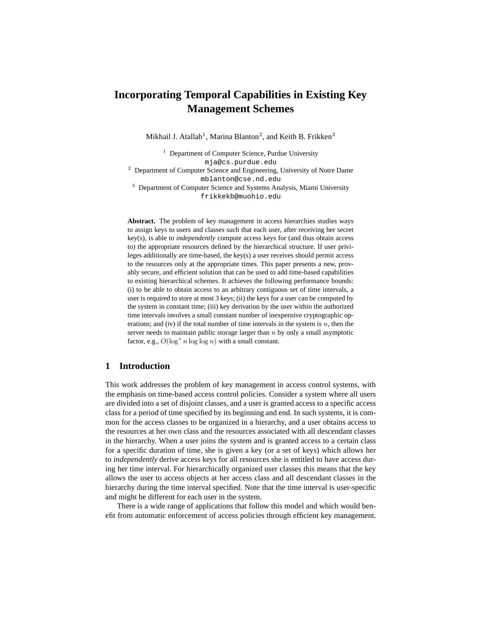# **Incorporating Temporal Capabilities in Existing Key Management Schemes**

Mikhail J. Atallah<sup>1</sup>, Marina Blanton<sup>2</sup>, and Keith B. Frikken<sup>3</sup>

 $1$  Department of Computer Science, Purdue University mja@cs.purdue.edu <sup>2</sup> Department of Computer Science and Engineering, University of Notre Dame mblanton@cse.nd.edu <sup>3</sup> Department of Computer Science and Systems Analysis, Miami University frikkekb@muohio.edu

**Abstract.** The problem of key management in access hierarchies studies ways to assign keys to users and classes such that each user, after receiving her secret key(s), is able to *independently* compute access keys for (and thus obtain access to) the appropriate resources defined by the hierarchical structure. If user privileges additionally are time-based, the key(s) a user receives should permit access to the resources only at the appropriate times. This paper presents a new, provably secure, and efficient solution that can be used to add time-based capabilities to existing hierarchical schemes. It achieves the following performance bounds: (i) to be able to obtain access to an arbitrary contiguous set of time intervals, a user is required to store at most 3 keys; (ii) the keys for a user can be computed by the system in constant time; (iii) key derivation by the user within the authorized time intervals involves a small constant number of inexpensive cryptographic operations; and (iv) if the total number of time intervals in the system is  $n$ , then the server needs to maintain public storage larger than  $n$  by only a small asymptotic factor, e.g.,  $O(\log^* n \log \log n)$  with a small constant.

# **1 Introduction**

This work addresses the problem of key management in access control systems, with the emphasis on time-based access control policies. Consider a system where all users are divided into a set of disjoint classes, and a user is granted access to a specific access class for a period of time specified by its beginning and end. In such systems, it is common for the access classes to be organized in a hierarchy, and a user obtains access to the resources at her own class and the resources associated with all descendant classes in the hierarchy. When a user joins the system and is granted access to a certain class for a specific duration of time, she is given a key (or a set of keys) which allows her to *independently* derive access keys for all resources she is entitled to have access during her time interval. For hierarchically organized user classes this means that the key allows the user to access objects at her access class and all descendant classes in the hierarchy during the time interval specified. Note that the time interval is user-specific and might be different for each user in the system.

There is a wide range of applications that follow this model and which would benefit from automatic enforcement of access policies through efficient key management.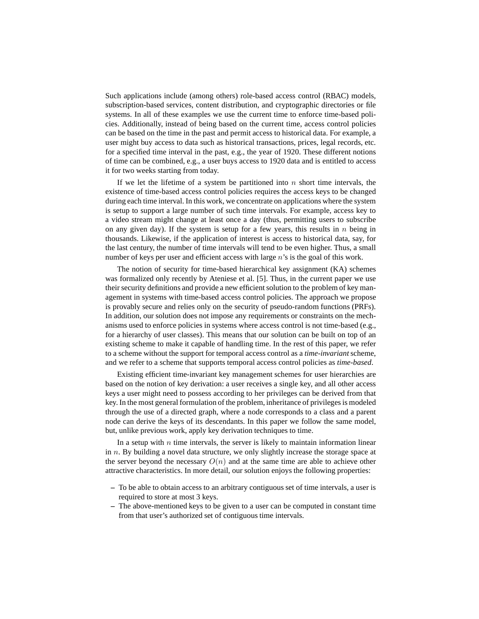Such applications include (among others) role-based access control (RBAC) models, subscription-based services, content distribution, and cryptographic directories or file systems. In all of these examples we use the current time to enforce time-based policies. Additionally, instead of being based on the current time, access control policies can be based on the time in the past and permit access to historical data. For example, a user might buy access to data such as historical transactions, prices, legal records, etc. for a specified time interval in the past, e.g., the year of 1920. These different notions of time can be combined, e.g., a user buys access to 1920 data and is entitled to access it for two weeks starting from today.

If we let the lifetime of a system be partitioned into  $n$  short time intervals, the existence of time-based access control policies requires the access keys to be changed during each time interval. In this work, we concentrate on applications where the system is setup to support a large number of such time intervals. For example, access key to a video stream might change at least once a day (thus, permitting users to subscribe on any given day). If the system is setup for a few years, this results in  $n$  being in thousands. Likewise, if the application of interest is access to historical data, say, for the last century, the number of time intervals will tend to be even higher. Thus, a small number of keys per user and efficient access with large n's is the goal of this work.

The notion of security for time-based hierarchical key assignment (KA) schemes was formalized only recently by Ateniese et al. [5]. Thus, in the current paper we use their security definitions and provide a new efficient solution to the problem of key management in systems with time-based access control policies. The approach we propose is provably secure and relies only on the security of pseudo-random functions (PRFs). In addition, our solution does not impose any requirements or constraints on the mechanisms used to enforce policies in systems where access control is not time-based (e.g., for a hierarchy of user classes). This means that our solution can be built on top of an existing scheme to make it capable of handling time. In the rest of this paper, we refer to a scheme without the support for temporal access control as a *time-invariant*scheme, and we refer to a scheme that supports temporal access control policies as *time-based*.

Existing efficient time-invariant key management schemes for user hierarchies are based on the notion of key derivation: a user receives a single key, and all other access keys a user might need to possess according to her privileges can be derived from that key. In the most general formulation of the problem, inheritance of privileges is modeled through the use of a directed graph, where a node corresponds to a class and a parent node can derive the keys of its descendants. In this paper we follow the same model, but, unlike previous work, apply key derivation techniques to time.

In a setup with  $n$  time intervals, the server is likely to maintain information linear in  $n$ . By building a novel data structure, we only slightly increase the storage space at the server beyond the necessary  $O(n)$  and at the same time are able to achieve other attractive characteristics. In more detail, our solution enjoys the following properties:

- **–** To be able to obtain access to an arbitrary contiguous set of time intervals, a user is required to store at most 3 keys.
- **–** The above-mentioned keys to be given to a user can be computed in constant time from that user's authorized set of contiguous time intervals.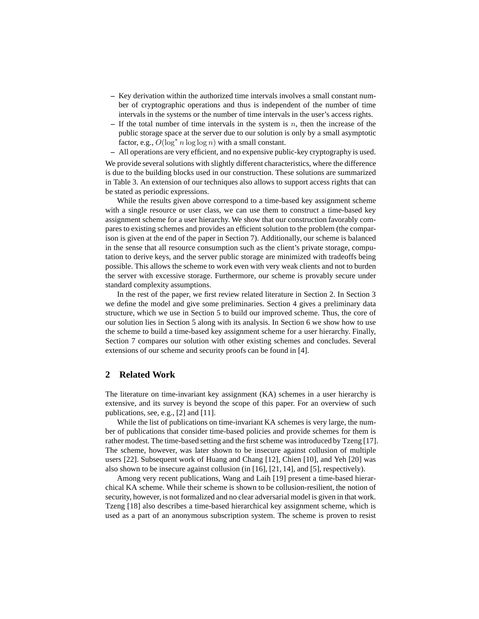- **–** Key derivation within the authorized time intervals involves a small constant number of cryptographic operations and thus is independent of the number of time intervals in the systems or the number of time intervals in the user's access rights.
- $-$  If the total number of time intervals in the system is  $n$ , then the increase of the public storage space at the server due to our solution is only by a small asymptotic factor, e.g.,  $O(\log^* n \log \log n)$  with a small constant.

**–** All operations are very efficient, and no expensive public-key cryptography is used.

We provide several solutions with slightly different characteristics, where the difference is due to the building blocks used in our construction. These solutions are summarized in Table 3. An extension of our techniques also allows to support access rights that can be stated as periodic expressions.

While the results given above correspond to a time-based key assignment scheme with a single resource or user class, we can use them to construct a time-based key assignment scheme for a user hierarchy. We show that our construction favorably compares to existing schemes and provides an efficient solution to the problem (the comparison is given at the end of the paper in Section 7). Additionally, our scheme is balanced in the sense that all resource consumption such as the client's private storage, computation to derive keys, and the server public storage are minimized with tradeoffs being possible. This allows the scheme to work even with very weak clients and not to burden the server with excessive storage. Furthermore, our scheme is provably secure under standard complexity assumptions.

In the rest of the paper, we first review related literature in Section 2. In Section 3 we define the model and give some preliminaries. Section 4 gives a preliminary data structure, which we use in Section 5 to build our improved scheme. Thus, the core of our solution lies in Section 5 along with its analysis. In Section 6 we show how to use the scheme to build a time-based key assignment scheme for a user hierarchy. Finally, Section 7 compares our solution with other existing schemes and concludes. Several extensions of our scheme and security proofs can be found in [4].

### **2 Related Work**

The literature on time-invariant key assignment (KA) schemes in a user hierarchy is extensive, and its survey is beyond the scope of this paper. For an overview of such publications, see, e.g., [2] and [11].

While the list of publications on time-invariant KA schemes is very large, the number of publications that consider time-based policies and provide schemes for them is rather modest. The time-based setting and the first scheme was introduced by Tzeng [17]. The scheme, however, was later shown to be insecure against collusion of multiple users [22]. Subsequent work of Huang and Chang [12], Chien [10], and Yeh [20] was also shown to be insecure against collusion (in [16], [21, 14], and [5], respectively).

Among very recent publications, Wang and Laih [19] present a time-based hierarchical KA scheme. While their scheme is shown to be collusion-resilient, the notion of security, however, is not formalized and no clear adversarial model is given in that work. Tzeng [18] also describes a time-based hierarchical key assignment scheme, which is used as a part of an anonymous subscription system. The scheme is proven to resist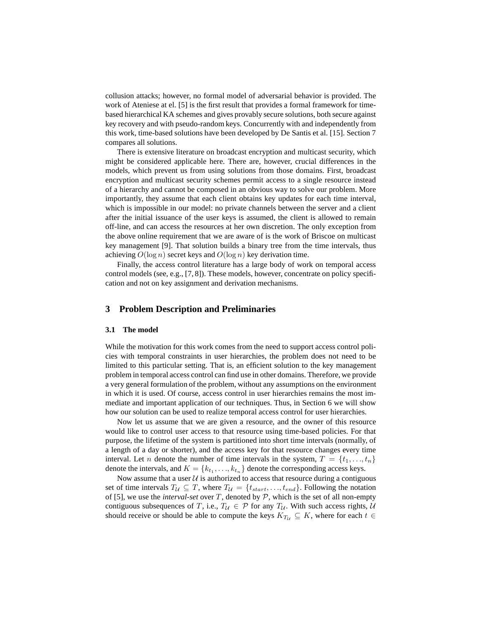collusion attacks; however, no formal model of adversarial behavior is provided. The work of Ateniese at el. [5] is the first result that provides a formal framework for timebased hierarchical KA schemes and gives provably secure solutions, both secure against key recovery and with pseudo-random keys. Concurrently with and independently from this work, time-based solutions have been developed by De Santis et al. [15]. Section 7 compares all solutions.

There is extensive literature on broadcast encryption and multicast security, which might be considered applicable here. There are, however, crucial differences in the models, which prevent us from using solutions from those domains. First, broadcast encryption and multicast security schemes permit access to a single resource instead of a hierarchy and cannot be composed in an obvious way to solve our problem. More importantly, they assume that each client obtains key updates for each time interval, which is impossible in our model: no private channels between the server and a client after the initial issuance of the user keys is assumed, the client is allowed to remain off-line, and can access the resources at her own discretion. The only exception from the above online requirement that we are aware of is the work of Briscoe on multicast key management [9]. That solution builds a binary tree from the time intervals, thus achieving  $O(\log n)$  secret keys and  $O(\log n)$  key derivation time.

Finally, the access control literature has a large body of work on temporal access control models (see, e.g., [7, 8]). These models, however, concentrate on policy specification and not on key assignment and derivation mechanisms.

# **3 Problem Description and Preliminaries**

#### **3.1 The model**

While the motivation for this work comes from the need to support access control policies with temporal constraints in user hierarchies, the problem does not need to be limited to this particular setting. That is, an efficient solution to the key management problem in temporal access control can find use in other domains. Therefore, we provide a very general formulation of the problem, without any assumptions on the environment in which it is used. Of course, access control in user hierarchies remains the most immediate and important application of our techniques. Thus, in Section 6 we will show how our solution can be used to realize temporal access control for user hierarchies.

Now let us assume that we are given a resource, and the owner of this resource would like to control user access to that resource using time-based policies. For that purpose, the lifetime of the system is partitioned into short time intervals (normally, of a length of a day or shorter), and the access key for that resource changes every time interval. Let *n* denote the number of time intervals in the system,  $T = \{t_1, \ldots, t_n\}$ denote the intervals, and  $K = \{k_{t_1}, \ldots, k_{t_n}\}\$  denote the corresponding access keys.

Now assume that a user  $U$  is authorized to access that resource during a contiguous set of time intervals  $T_{\mathcal{U}} \subseteq T$ , where  $T_{\mathcal{U}} = \{t_{start}, \ldots, t_{end}\}$ . Following the notation of [5], we use the *interval-set* over  $T$ , denoted by  $P$ , which is the set of all non-empty contiguous subsequences of T, i.e.,  $T_{\mathcal{U}} \in \mathcal{P}$  for any  $T_{\mathcal{U}}$ . With such access rights,  $\mathcal{U}$ should receive or should be able to compute the keys  $K_{T_U} \subseteq K$ , where for each  $t \in$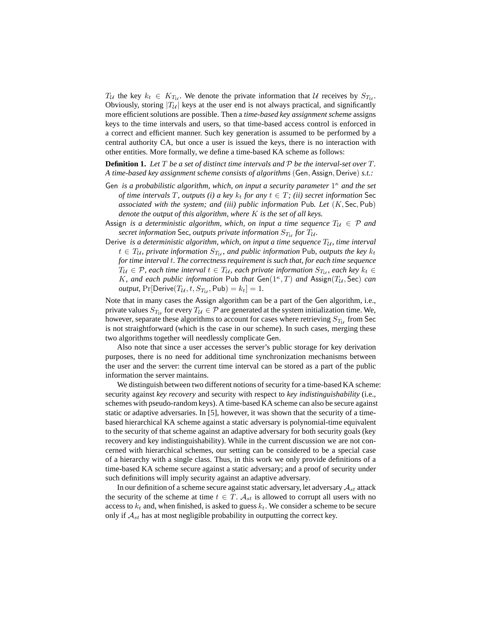$T_{\mathcal{U}}$  the key  $k_t \in K_{T_{\mathcal{U}}}$ . We denote the private information that  $\mathcal{U}$  receives by  $S_{T_{\mathcal{U}}}$ . Obviously, storing  $|T_u|$  keys at the user end is not always practical, and significantly more efficient solutions are possible. Then a *time-based key assignment scheme* assigns keys to the time intervals and users, so that time-based access control is enforced in a correct and efficient manner. Such key generation is assumed to be performed by a central authority CA, but once a user is issued the keys, there is no interaction with other entities. More formally, we define a time-based KA scheme as follows:

**Definition 1.** Let T be a set of distinct time intervals and P be the interval-set over T. *A time-based key assignment scheme consists of algorithms* (Gen, Assign, Derive) *s.t.:*

- Gen *is a probabilistic algorithm, which, on input a security parameter* 1 <sup>κ</sup> *and the set of time intervals* T, *outputs* (*i*) a key  $k_t$  *for any*  $t \in T$ ; (*ii) secret information* Sec *associated with the system; and (iii) public information* Pub*. Let* (K, Sec, Pub) *denote the output of this algorithm, where* K *is the set of all keys.*
- Assign *is a deterministic algorithm, which, on input a time sequence*  $T_u \in \mathcal{P}$  and secret information Sec, outputs private information  $S_{T_{\mathcal U}}$  for  $T_{\mathcal U}.$
- Derive *is a deterministic algorithm, which, on input a time sequence*  $T_{\mathcal{U}}$ *, time interval*  $t \in T_{\mathcal{U}}$ , private information  $S_{T_{\mathcal{U}}}$ , and public information Pub, outputs the key  $k_t$ *for time interval* t*. The correctness requirement is such that, for each time sequence*  $T_{\mathcal{U}} \in \mathcal{P}$ , each time interval  $t \in T_{\mathcal{U}}$ , each private information  $S_{T_{\mathcal{U}}}$ , each key  $k_t \in$ K, and each public information Pub that  $Gen(1<sup>\kappa</sup>, T)$  and  $Assign(T_{\mathcal{U}}, Sec)$  can *output*,  $Pr[Derive(T_{\mathcal{U}}, t, S_{T_{\mathcal{U}}}, Pub) = k_t] = 1.$

Note that in many cases the Assign algorithm can be a part of the Gen algorithm, i.e., private values  $S_{T_U}$  for every  $T_U \in \mathcal{P}$  are generated at the system initialization time. We, however, separate these algorithms to account for cases where retrieving  $S_{T_{\mathcal{U}}}$  from Sec is not straightforward (which is the case in our scheme). In such cases, merging these two algorithms together will needlessly complicate Gen.

Also note that since a user accesses the server's public storage for key derivation purposes, there is no need for additional time synchronization mechanisms between the user and the server: the current time interval can be stored as a part of the public information the server maintains.

We distinguish between two different notions of security for a time-based KA scheme: security against *key recovery* and security with respect to *key indistinguishability* (i.e., schemes with pseudo-random keys). A time-based KA scheme can also be secure against static or adaptive adversaries. In [5], however, it was shown that the security of a timebased hierarchical KA scheme against a static adversary is polynomial-time equivalent to the security of that scheme against an adaptive adversary for both security goals (key recovery and key indistinguishability). While in the current discussion we are not concerned with hierarchical schemes, our setting can be considered to be a special case of a hierarchy with a single class. Thus, in this work we only provide definitions of a time-based KA scheme secure against a static adversary; and a proof of security under such definitions will imply security against an adaptive adversary.

In our definition of a scheme secure against static adversary, let adversary  $A_{st}$  attack the security of the scheme at time  $t \in T$ .  $\mathcal{A}_{st}$  is allowed to corrupt all users with no access to  $k_t$  and, when finished, is asked to guess  $k_t$ . We consider a scheme to be secure only if  $A_{st}$  has at most negligible probability in outputting the correct key.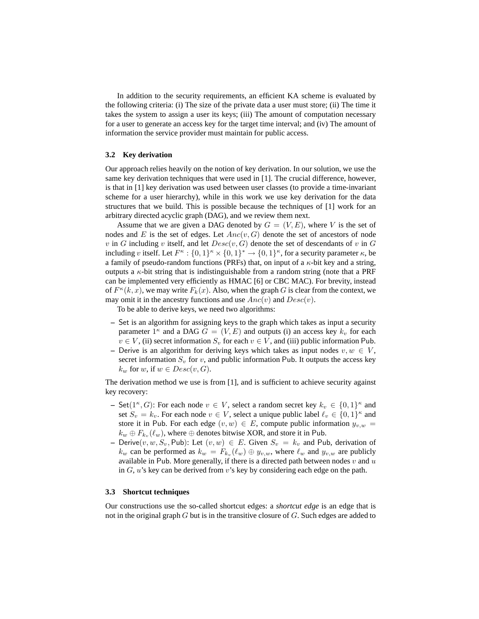In addition to the security requirements, an efficient KA scheme is evaluated by the following criteria: (i) The size of the private data a user must store; (ii) The time it takes the system to assign a user its keys; (iii) The amount of computation necessary for a user to generate an access key for the target time interval; and (iv) The amount of information the service provider must maintain for public access.

### **3.2 Key derivation**

Our approach relies heavily on the notion of key derivation. In our solution, we use the same key derivation techniques that were used in [1]. The crucial difference, however, is that in [1] key derivation was used between user classes (to provide a time-invariant scheme for a user hierarchy), while in this work we use key derivation for the data structures that we build. This is possible because the techniques of [1] work for an arbitrary directed acyclic graph (DAG), and we review them next.

Assume that we are given a DAG denoted by  $G = (V, E)$ , where V is the set of nodes and  $E$  is the set of edges. Let  $Anc(v, G)$  denote the set of ancestors of node v in G including v itself, and let  $Desc(v, G)$  denote the set of descendants of v in G including v itself. Let  $F^{\kappa} : \{0,1\}^{\kappa} \times \{0,1\}^{\kappa} \to \{0,1\}^{\kappa}$ , for a security parameter  $\kappa$ , be a family of pseudo-random functions (PRFs) that, on input of a  $\kappa$ -bit key and a string, outputs a  $\kappa$ -bit string that is indistinguishable from a random string (note that a PRF can be implemented very efficiently as HMAC [6] or CBC MAC). For brevity, instead of  $F^{\kappa}(k, x)$ , we may write  $F_k(x)$ . Also, when the graph G is clear from the context, we may omit it in the ancestry functions and use  $Anc(v)$  and  $Desc(v)$ .

To be able to derive keys, we need two algorithms:

- **–** Set is an algorithm for assigning keys to the graph which takes as input a security parameter  $1^{\kappa}$  and a DAG  $G = (V, E)$  and outputs (i) an access key  $k_v$  for each  $v \in V$ , (ii) secret information  $S_v$  for each  $v \in V$ , and (iii) public information Pub.
- Derive is an algorithm for deriving keys which takes as input nodes  $v, w \in V$ , secret information  $S_v$  for v, and public information Pub. It outputs the access key  $k_w$  for w, if  $w \in Desc(v, G)$ .

The derivation method we use is from [1], and is sufficient to achieve security against key recovery:

- **–** Set $(1^{\kappa}, G)$ : For each node  $v \in V$ , select a random secret key  $k_v \in \{0, 1\}^{\kappa}$  and set  $S_v = k_v$ . For each node  $v \in V$ , select a unique public label  $\ell_v \in \{0, 1\}^{\kappa}$  and store it in Pub. For each edge  $(v, w) \in E$ , compute public information  $y_{v,w} =$  $k_w \oplus F_{k_v}(\ell_w)$ , where  $\oplus$  denotes bitwise XOR, and store it in Pub.
- **–** Derive $(v, w, S_v, \text{Pub})$ : Let  $(v, w) \in E$ . Given  $S_v = k_v$  and Pub, derivation of  $k_w$  can be performed as  $k_w = F_{k_v}(\ell_w) \oplus y_{v,w}$ , where  $\ell_w$  and  $y_{v,w}$  are publicly available in Pub. More generally, if there is a directed path between nodes  $v$  and  $u$ in G, u's key can be derived from v's key by considering each edge on the path.

#### **3.3 Shortcut techniques**

Our constructions use the so-called shortcut edges: a *shortcut edge* is an edge that is not in the original graph G but is in the transitive closure of G. Such edges are added to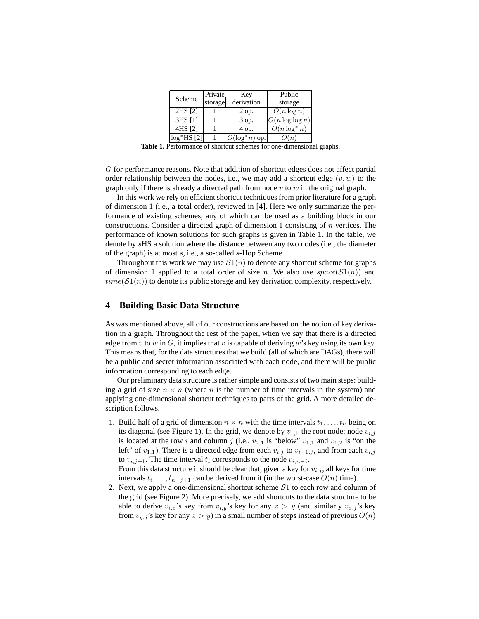|              | Private | Key                  | Public             |  |
|--------------|---------|----------------------|--------------------|--|
| Scheme       | storage | derivation           | storage            |  |
| 2HS [2]      |         | 2 op.                | $O(n \log n)$      |  |
| 3HS [1]      |         | 3 op.                | $O(n \log \log n)$ |  |
| 4HS [2]      |         | 4 op.                | $O(n \log^* n)$    |  |
| $log*HS$ [2] |         | $O(\log^* n)$<br>op. | $(n_{i}$           |  |

**Table 1.** Performance of shortcut schemes for one-dimensional graphs.

G for performance reasons. Note that addition of shortcut edges does not affect partial order relationship between the nodes, i.e., we may add a shortcut edge  $(v, w)$  to the graph only if there is already a directed path from node  $v$  to  $w$  in the original graph.

In this work we rely on efficient shortcut techniques from prior literature for a graph of dimension 1 (i.e., a total order), reviewed in [4]. Here we only summarize the performance of existing schemes, any of which can be used as a building block in our constructions. Consider a directed graph of dimension 1 consisting of  $n$  vertices. The performance of known solutions for such graphs is given in Table 1. In the table, we denote by sHS a solution where the distance between any two nodes (i.e., the diameter of the graph) is at most s, i.e., a so-called s-Hop Scheme.

Throughout this work we may use  $S1(n)$  to denote any shortcut scheme for graphs of dimension 1 applied to a total order of size n. We also use  $space(S1(n))$  and  $time(S1(n))$  to denote its public storage and key derivation complexity, respectively.

# **4 Building Basic Data Structure**

As was mentioned above, all of our constructions are based on the notion of key derivation in a graph. Throughout the rest of the paper, when we say that there is a directed edge from v to w in G, it implies that v is capable of deriving w's key using its own key. This means that, for the data structures that we build (all of which are DAGs), there will be a public and secret information associated with each node, and there will be public information corresponding to each edge.

Our preliminary data structure is rather simple and consists of two main steps: building a grid of size  $n \times n$  (where n is the number of time intervals in the system) and applying one-dimensional shortcut techniques to parts of the grid. A more detailed description follows.

1. Build half of a grid of dimension  $n \times n$  with the time intervals  $t_1, \ldots, t_n$  being on its diagonal (see Figure 1). In the grid, we denote by  $v_{1,1}$  the root node; node  $v_{i,j}$ is located at the row i and column j (i.e.,  $v_{2,1}$  is "below"  $v_{1,1}$  and  $v_{1,2}$  is "on the left" of  $v_{1,1}$ ). There is a directed edge from each  $v_{i,j}$  to  $v_{i+1,j}$ , and from each  $v_{i,j}$ to  $v_{i,j+1}$ . The time interval  $t_i$  corresponds to the node  $v_{i,n-i}$ .

From this data structure it should be clear that, given a key for  $v_{i,j}$ , all keys for time intervals  $t_i, \ldots, t_{n-j+1}$  can be derived from it (in the worst-case  $O(n)$  time).

2. Next, we apply a one-dimensional shortcut scheme  $S1$  to each row and column of the grid (see Figure 2). More precisely, we add shortcuts to the data structure to be able to derive  $v_{i,x}$ 's key from  $v_{i,y}$ 's key for any  $x > y$  (and similarly  $v_{x,j}$ 's key from  $v_{y,j}$ 's key for any  $x > y$ ) in a small number of steps instead of previous  $O(n)$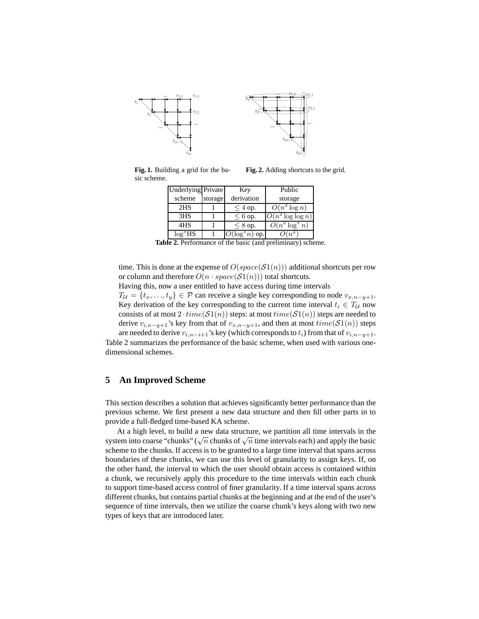

**Fig. 1.** Building a grid for the basic scheme. **Fig. 2.** Adding shortcuts to the grid.

| <b>Underlying Private</b> |         | Key                 | Public                          |
|---------------------------|---------|---------------------|---------------------------------|
| scheme                    | storage | derivation          | storage                         |
| 2HS                       |         | $\leq 4$ op.        | $\overline{O(n^2 \log n)}$      |
| 3HS                       |         | $< 6$ op.           | $\overline{O(n^2 \log \log n)}$ |
| 4HS                       |         | $< 8$ op.           | $^{2}$ log <sup>*</sup>         |
| $log*HS$                  |         | $(\log^* n)$<br>op. |                                 |

**Table 2.** Performance of the basic (and preliminary) scheme.

time. This is done at the expense of  $O(space(S1(n)))$  additional shortcuts per row or column and therefore  $O(n \cdot space(S1(n)))$  total shortcuts.

Having this, now a user entitled to have access during time intervals

 $T_{\mathcal{U}} = \{t_x, \ldots, t_y\} \in \mathcal{P}$  can receive a single key corresponding to node  $v_{x,n-y+1}$ . Key derivation of the key corresponding to the current time interval  $t_i \in T_{\mathcal{U}}$  now consists of at most  $2 \cdot time(S1(n))$  steps: at most  $time(S1(n))$  steps are needed to derive  $v_{i,n-y+1}$ 's key from that of  $v_{x,n-y+1}$ , and then at most  $time(S1(n))$  steps are needed to derive  $v_{i,n-i+1}$ 's key (which corresponds to  $t_i$ ) from that of  $v_{i,n-y+1}$ .

Table 2 summarizes the performance of the basic scheme, when used with various onedimensional schemes.

### **5 An Improved Scheme**

This section describes a solution that achieves significantly better performance than the previous scheme. We first present a new data structure and then fill other parts in to provide a full-fledged time-based KA scheme.

At a high level, to build a new data structure, we partition all time intervals in the system into coarse "chunks" ( $\sqrt{n}$  chunks of  $\sqrt{n}$  time intervals each) and apply the basic scheme to the chunks. If access is to be granted to a large time interval that spans across boundaries of these chunks, we can use this level of granularity to assign keys. If, on the other hand, the interval to which the user should obtain access is contained within a chunk, we recursively apply this procedure to the time intervals within each chunk to support time-based access control of finer granularity. If a time interval spans across different chunks, but contains partial chunks at the beginning and at the end of the user's sequence of time intervals, then we utilize the coarse chunk's keys along with two new types of keys that are introduced later.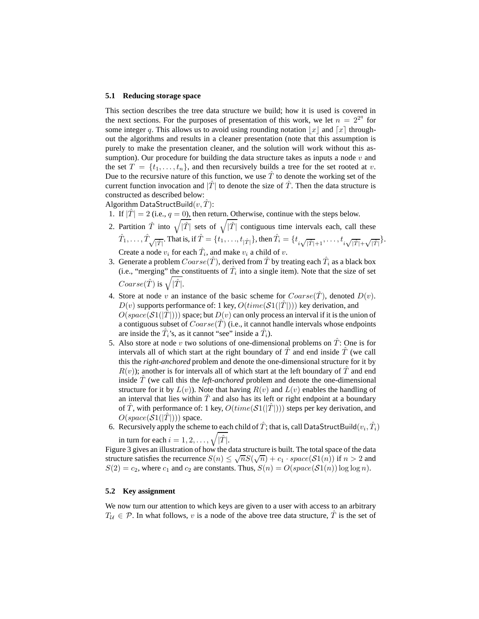#### **5.1 Reducing storage space**

This section describes the tree data structure we build; how it is used is covered in the next sections. For the purposes of presentation of this work, we let  $n = 2^{2^q}$  for some integer q. This allows us to avoid using rounding notation  $|x|$  and  $\lceil x \rceil$  throughout the algorithms and results in a cleaner presentation (note that this assumption is purely to make the presentation cleaner, and the solution will work without this assumption). Our procedure for building the data structure takes as inputs a node  $v$  and the set  $T = \{t_1, \ldots, t_n\}$ , and then recursively builds a tree for the set rooted at v. Due to the recursive nature of this function, we use  $\hat{T}$  to denote the working set of the current function invocation and  $|\hat{T}|$  to denote the size of  $\hat{T}$ . Then the data structure is constructed as described below:

Algorithm DataStructBuild $(v, T)$ :

- 1. If  $|\hat{T}| = 2$  (i.e.,  $q = 0$ ), then return. Otherwise, continue with the steps below.
- 2. Partition  $\hat{T}$  into  $\sqrt{|\hat{T}|}$  sets of  $\sqrt{|\hat{T}|}$  contiguous time intervals each, call these  $\hat{T}_1, \ldots, \hat{T}_{\sqrt{|\hat{T}|}}$ . That is, if  $\hat{T} = \{t_1, \ldots, t_{|\hat{T}|}\}$ , then  $\hat{T}_i = \{t_{i\sqrt{|\hat{T}|}+1}, \ldots, t_{i\sqrt{|\hat{T}|}+\sqrt{|\hat{T}|}}\}$ .

Create a node  $v_i$  for each  $\hat{T}_i$ , and make  $v_i$  a child of  $v$ .

- 3. Generate a problem  $Coarse(\hat{T})$ , derived from  $\hat{T}$  by treating each  $\hat{T}_i$  as a black box (i.e., "merging" the constituents of  $\hat{T}_i$  into a single item). Note that the size of set  $\it{Coarse}(\hat{T})$  is  $\sqrt{|\hat{T}|}.$
- 4. Store at node v an instance of the basic scheme for  $Coarse(\hat{T})$ , denoted  $D(v)$ .  $D(v)$  supports performance of: 1 key,  $O(time(S1(|\hat{T}|)))$  key derivation, and  $O(space(S1(|\hat{T}|)))$  space; but  $D(v)$  can only process an interval if it is the union of a contiguous subset of  $Coarse(\hat{T})$  (i.e., it cannot handle intervals whose endpoints are inside the  $\hat{T}_i$ 's, as it cannot "see" inside a  $\hat{T}_i$ ).
- 5. Also store at node v two solutions of one-dimensional problems on  $\hat{T}$ : One is for intervals all of which start at the right boundary of  $\hat{T}$  and end inside  $\hat{T}$  (we call this the *right-anchored* problem and denote the one-dimensional structure for it by  $R(v)$ ; another is for intervals all of which start at the left boundary of T and end inside  $\hat{T}$  (we call this the *left-anchored* problem and denote the one-dimensional structure for it by  $L(v)$ . Note that having  $R(v)$  and  $L(v)$  enables the handling of an interval that lies within  $\hat{T}$  and also has its left or right endpoint at a boundary of T, with performance of: 1 key,  $O(time(S1(|T|)))$  steps per key derivation, and  $O(space(S1(|T|)))$  space.
- 6. Recursively apply the scheme to each child of  $\hat{T}$ ; that is, call DataStructBuild $(v_i, \hat{T}_i)$ in turn for each  $i = 1, 2, ..., \sqrt{|\hat{T}|}$ .

Figure 3 gives an illustration of how the data structure is built. The total space of the data structure satisfies the recurrence  $S(n) \leq \sqrt{n}S(\sqrt{n}) + c_1 \cdot space(S1(n))$  if  $n > 2$  and  $S(2) = c_2$ , where  $c_1$  and  $c_2$  are constants. Thus,  $S(n) = O(space(S1(n)) \log \log n)$ .

### **5.2 Key assignment**

We now turn our attention to which keys are given to a user with access to an arbitrary  $T_{\mathcal{U}} \in \mathcal{P}$ . In what follows, v is a node of the above tree data structure,  $\hat{T}$  is the set of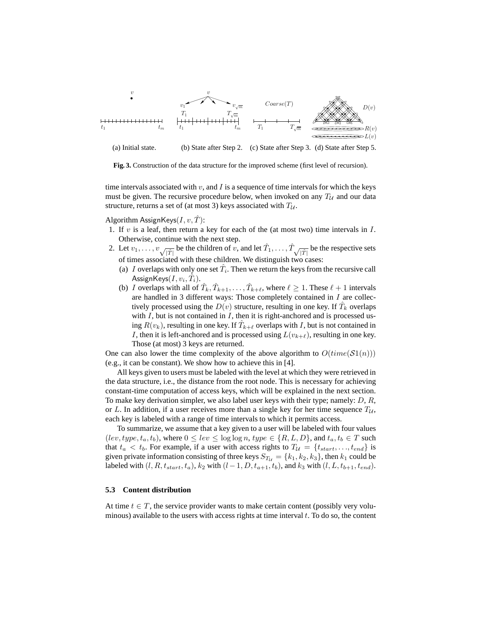

**Fig. 3.** Construction of the data structure for the improved scheme (first level of recursion).

time intervals associated with  $v$ , and  $I$  is a sequence of time intervals for which the keys must be given. The recursive procedure below, when invoked on any  $T_U$  and our data structure, returns a set of (at most 3) keys associated with  $T_{\mathcal{U}}$ .

Algorithm AssignKeys $(I, v, T)$ :

- 1. If  $v$  is a leaf, then return a key for each of the (at most two) time intervals in  $I$ . Otherwise, continue with the next step.
- 2. Let  $v_1, \ldots, v_{\sqrt{|\hat{T}|}}$  be the children of  $v$ , and let  $\hat{T}_1, \ldots, \hat{T}_{\sqrt{|\hat{T}|}}$  be the respective sets of times associated with these children. We distinguish two cases:
	- (a) I overlaps with only one set  $\hat{T}_i$ . Then we return the keys from the recursive call Assign $\mathsf{K}$ eys $(I,v_i,\hat{T}_i).$
	- (b) *I* overlaps with all of  $\hat{T}_k, \hat{T}_{k+1}, \dots, \hat{T}_{k+\ell}$ , where  $\ell \ge 1$ . These  $\ell + 1$  intervals are handled in 3 different ways: Those completely contained in  $I$  are collectively processed using the  $D(v)$  structure, resulting in one key. If  $\hat{T}_k$  overlaps with  $I$ , but is not contained in  $I$ , then it is right-anchored and is processed using  $R(v_k)$ , resulting in one key. If  $\hat{T}_{k+\ell}$  overlaps with I, but is not contained in I, then it is left-anchored and is processed using  $L(v_{k+\ell})$ , resulting in one key. Those (at most) 3 keys are returned.

One can also lower the time complexity of the above algorithm to  $O(time(S1(n)))$ (e.g., it can be constant). We show how to achieve this in [4].

All keys given to users must be labeled with the level at which they were retrieved in the data structure, i.e., the distance from the root node. This is necessary for achieving constant-time computation of access keys, which will be explained in the next section. To make key derivation simpler, we also label user keys with their type; namely:  $D, R$ , or L. In addition, if a user receives more than a single key for her time sequence  $T_{\mathcal{U}}$ , each key is labeled with a range of time intervals to which it permits access.

To summarize, we assume that a key given to a user will be labeled with four values  $(lev, type, t_a, t_b)$ , where  $0 \leq lev \leq \log \log n$ ,  $type \in \{R, L, D\}$ , and  $t_a, t_b \in T$  such that  $t_a < t_b$ . For example, if a user with access rights to  $T_{\mathcal{U}} = \{t_{start}, \ldots, t_{end}\}$  is given private information consisting of three keys  $S_{T_U} = \{k_1, k_2, k_3\}$ , then  $k_1$  could be labeled with  $(l, R, t_{start}, t_a)$ ,  $k_2$  with  $(l-1, D, t_{a+1}, t_b)$ , and  $k_3$  with  $(l, L, t_{b+1}, t_{end})$ .

### **5.3 Content distribution**

At time  $t \in T$ , the service provider wants to make certain content (possibly very voluminous) available to the users with access rights at time interval  $t$ . To do so, the content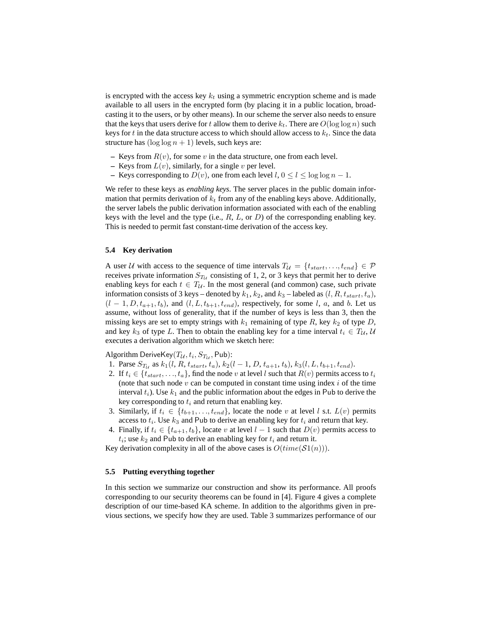is encrypted with the access key  $k_t$  using a symmetric encryption scheme and is made available to all users in the encrypted form (by placing it in a public location, broadcasting it to the users, or by other means). In our scheme the server also needs to ensure that the keys that users derive for t allow them to derive  $k_t$ . There are  $O(\log \log n)$  such keys for t in the data structure access to which should allow access to  $k_t$ . Since the data structure has  $(\log \log n + 1)$  levels, such keys are:

- **–** Keys from  $R(v)$ , for some v in the data structure, one from each level.
- **–** Keys from  $L(v)$ , similarly, for a single v per level.
- **–** Keys corresponding to  $D(v)$ , one from each level  $l, 0 \le l \le \log \log n 1$ .

We refer to these keys as *enabling keys*. The server places in the public domain information that permits derivation of  $k_t$  from any of the enabling keys above. Additionally, the server labels the public derivation information associated with each of the enabling keys with the level and the type (i.e.,  $R$ ,  $L$ , or  $D$ ) of the corresponding enabling key. This is needed to permit fast constant-time derivation of the access key.

### **5.4 Key derivation**

A user U with access to the sequence of time intervals  $T_{\mathcal{U}} = \{t_{start}, \ldots, t_{end}\} \in \mathcal{P}$ receives private information  $S_{T_U}$  consisting of 1, 2, or 3 keys that permit her to derive enabling keys for each  $t \in T_{\mathcal{U}}$ . In the most general (and common) case, such private information consists of 3 keys – denoted by  $k_1, k_2$ , and  $k_3$  – labeled as  $(l, R, t_{start}, t_a)$ ,  $(l-1, D, t_{a+1}, t_b)$ , and  $(l, L, t_{b+1}, t_{end})$ , respectively, for some l, a, and b. Let us assume, without loss of generality, that if the number of keys is less than 3, then the missing keys are set to empty strings with  $k_1$  remaining of type  $R$ , key  $k_2$  of type  $D$ , and key  $k_3$  of type L. Then to obtain the enabling key for a time interval  $t_i \in T_{\mathcal{U}}$ ,  $\mathcal{U}$ executes a derivation algorithm which we sketch here:

Algorithm DeriveKey $(T_{\mathcal{U}}, t_i, S_{T_{\mathcal{U}}}, \mathsf{Pub})$ :

- 1. Parse  $S_{T_{\mathcal{U}}}$  as  $k_1(l, R, t_{start}, t_a)$ ,  $k_2(l-1, D, t_{a+1}, t_b)$ ,  $k_3(l, L, t_{b+1}, t_{end})$ .
- 2. If  $t_i \in \{t_{start}, \ldots, t_a\}$ , find the node v at level l such that  $R(v)$  permits access to  $t_i$ (note that such node  $v$  can be computed in constant time using index  $i$  of the time interval  $t_i$ ). Use  $k_1$  and the public information about the edges in Pub to derive the key corresponding to  $t_i$  and return that enabling key.
- 3. Similarly, if  $t_i \in \{t_{b+1}, \ldots, t_{end}\}$ , locate the node v at level l s.t.  $L(v)$  permits access to  $t_i$ . Use  $k_3$  and Pub to derive an enabling key for  $t_i$  and return that key.
- 4. Finally, if  $t_i \in \{t_{a+1}, t_b\}$ , locate v at level  $l-1$  such that  $D(v)$  permits access to  $t_i$ ; use  $k_2$  and Pub to derive an enabling key for  $t_i$  and return it.

Key derivation complexity in all of the above cases is  $O(time(S1(n)))$ .

### **5.5 Putting everything together**

In this section we summarize our construction and show its performance. All proofs corresponding to our security theorems can be found in [4]. Figure 4 gives a complete description of our time-based KA scheme. In addition to the algorithms given in previous sections, we specify how they are used. Table 3 summarizes performance of our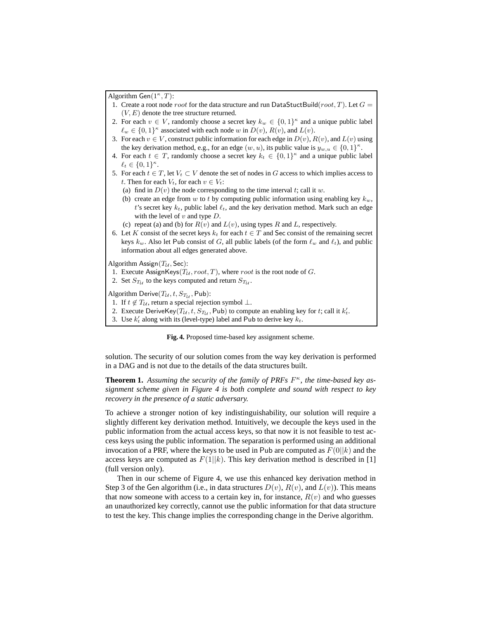Algorithm  $Gen(1^{\kappa}, T)$ :

- 1. Create a root node root for the data structure and run DataStuctBuild(root, T). Let  $G =$  $(V, E)$  denote the tree structure returned.
- 2. For each  $v \in V$ , randomly choose a secret key  $k_w \in \{0,1\}^{\kappa}$  and a unique public label  $\ell_w \in \{0, 1\}^\kappa$  associated with each node w in  $D(v)$ ,  $R(v)$ , and  $L(v)$ .
- 3. For each  $v \in V$ , construct public information for each edge in  $D(v)$ ,  $R(v)$ , and  $L(v)$  using the key derivation method, e.g., for an edge  $(w, u)$ , its public value is  $y_{w,u} \in \{0, 1\}^{\kappa}$ .
- 4. For each  $t \in T$ , randomly choose a secret key  $k_t \in \{0,1\}^{\kappa}$  and a unique public label  $\ell_t \in \{0,1\}^\kappa.$
- 5. For each  $t \in T$ , let  $V_t \subset V$  denote the set of nodes in G access to which implies access to t. Then for each  $V_t$ , for each  $v \in V_t$ :
	- (a) find in  $D(v)$  the node corresponding to the time interval t; call it w.
	- (b) create an edge from w to t by computing public information using enabling key  $k_w$ , t's secret key  $k_t$ , public label  $\ell_t$ , and the key derivation method. Mark such an edge with the level of  $v$  and type  $D$ .
	- (c) repeat (a) and (b) for  $R(v)$  and  $L(v)$ , using types R and L, respectively.
- 6. Let K consist of the secret keys  $k_t$  for each  $t \in T$  and Sec consist of the remaining secret keys  $k_w$ . Also let Pub consist of G, all public labels (of the form  $\ell_w$  and  $\ell_t$ ), and public information about all edges generated above.

Algorithm Assign $(T_{\mathcal{U}}, \mathsf{Sec})$ :

- 1. Execute AssignKeys $(T_{\mathcal{U}}, root, T)$ , where root is the root node of G.
- 2. Set  $S_{T_U}$  to the keys computed and return  $S_{T_U}$ .

Algorithm Derive $(T_{\mathcal{U}}, t, S_{T_{\mathcal{U}}},$  Pub):

- 1. If  $t \notin T_U$ , return a special rejection symbol ⊥.
- 2. Execute DeriveKey $(T_{\mathcal{U}}, t, S_{T_{\mathcal{U}}}, \mathsf{Pub})$  to compute an enabling key for t; call it  $k_t'$ .
- 3. Use  $k'_t$  along with its (level-type) label and Pub to derive key  $k_t$ .

**Fig. 4.** Proposed time-based key assignment scheme.

solution. The security of our solution comes from the way key derivation is performed in a DAG and is not due to the details of the data structures built.

**Theorem 1.** Assuming the security of the family of PRFs  $F^{\kappa}$ , the time-based key as*signment scheme given in Figure 4 is both complete and sound with respect to key recovery in the presence of a static adversary.*

To achieve a stronger notion of key indistinguishability, our solution will require a slightly different key derivation method. Intuitively, we decouple the keys used in the public information from the actual access keys, so that now it is not feasible to test access keys using the public information. The separation is performed using an additional invocation of a PRF, where the keys to be used in Pub are computed as  $F(0||k)$  and the access keys are computed as  $F(1||k)$ . This key derivation method is described in [1] (full version only).

Then in our scheme of Figure 4, we use this enhanced key derivation method in Step 3 of the Gen algorithm (i.e., in data structures  $D(v)$ ,  $R(v)$ , and  $L(v)$ ). This means that now someone with access to a certain key in, for instance,  $R(v)$  and who guesses an unauthorized key correctly, cannot use the public information for that data structure to test the key. This change implies the corresponding change in the Derive algorithm.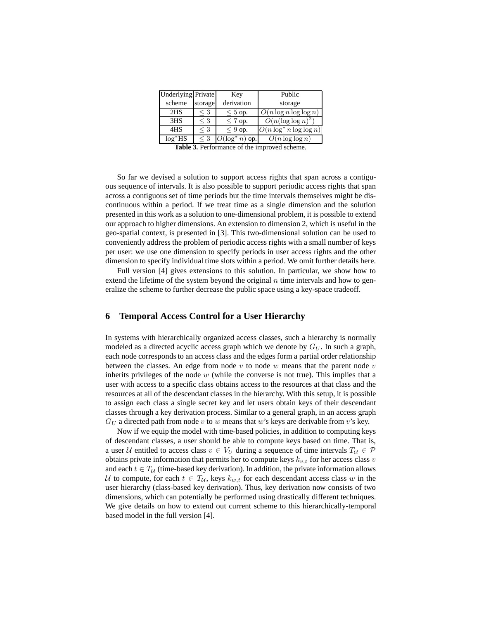| Underlying Private |          | Key                  | Public                                 |
|--------------------|----------|----------------------|----------------------------------------|
| scheme             | storage  | derivation           | storage                                |
| 2 <sub>HS</sub>    |          | $\leq 5$ op.         | $O(n \log n \log \log n)$              |
| 3 <sub>HS</sub>    | $\leq 3$ | $\leq 7$ op.         | $\overline{O(n(\log \log n)^2)}$       |
| 4HS                | $\leq 3$ | $\leq 9$ op.         | $\overline{O(n \log^* n \log \log n)}$ |
| $log*HS$           | $\leq 3$ | $O(\log^* n)$<br>op. | $O(n \log \log n)$                     |

**Table 3.** Performance of the improved scheme.

So far we devised a solution to support access rights that span across a contiguous sequence of intervals. It is also possible to support periodic access rights that span across a contiguous set of time periods but the time intervals themselves might be discontinuous within a period. If we treat time as a single dimension and the solution presented in this work as a solution to one-dimensional problem, it is possible to extend our approach to higher dimensions. An extension to dimension 2, which is useful in the geo-spatial context, is presented in [3]. This two-dimensional solution can be used to conveniently address the problem of periodic access rights with a small number of keys per user: we use one dimension to specify periods in user access rights and the other dimension to specify individual time slots within a period. We omit further details here.

Full version [4] gives extensions to this solution. In particular, we show how to extend the lifetime of the system beyond the original  $n$  time intervals and how to generalize the scheme to further decrease the public space using a key-space tradeoff.

# **6 Temporal Access Control for a User Hierarchy**

In systems with hierarchically organized access classes, such a hierarchy is normally modeled as a directed acyclic access graph which we denote by  $G_U$ . In such a graph, each node corresponds to an access class and the edges form a partial order relationship between the classes. An edge from node  $v$  to node  $w$  means that the parent node  $v$ inherits privileges of the node  $w$  (while the converse is not true). This implies that a user with access to a specific class obtains access to the resources at that class and the resources at all of the descendant classes in the hierarchy. With this setup, it is possible to assign each class a single secret key and let users obtain keys of their descendant classes through a key derivation process. Similar to a general graph, in an access graph  $G_U$  a directed path from node v to w means that w's keys are derivable from v's key.

Now if we equip the model with time-based policies, in addition to computing keys of descendant classes, a user should be able to compute keys based on time. That is, a user U entitled to access class  $v \in V_U$  during a sequence of time intervals  $T_U \in \mathcal{P}$ obtains private information that permits her to compute keys  $k_{v,t}$  for her access class v and each  $t \in T_U$  (time-based key derivation). In addition, the private information allows U to compute, for each  $t \in T_{\mathcal{U}}$ , keys  $k_{w,t}$  for each descendant access class w in the user hierarchy (class-based key derivation). Thus, key derivation now consists of two dimensions, which can potentially be performed using drastically different techniques. We give details on how to extend out current scheme to this hierarchically-temporal based model in the full version [4].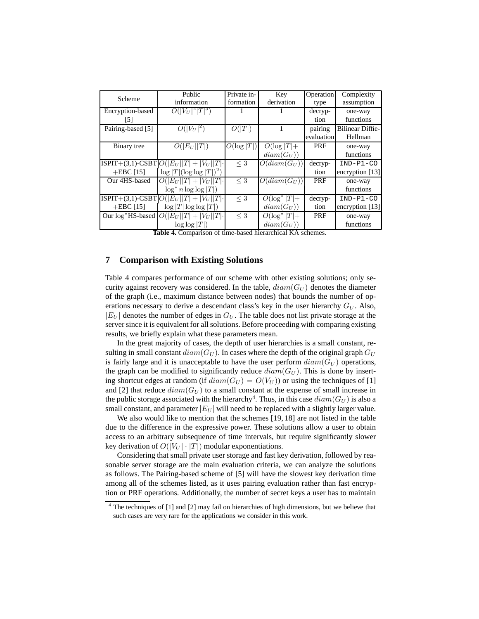|                     | Public                                                         | Private in-   | Key              | Operation  | Complexity              |
|---------------------|----------------------------------------------------------------|---------------|------------------|------------|-------------------------|
| Scheme              | information                                                    | formation     | derivation       | type       | assumption              |
| Encryption-based    | $O( V_U ^2 T ^3)$                                              |               |                  | decryp-    | one-way                 |
| [5]                 |                                                                |               |                  | tion       | functions               |
| Pairing-based [5]   | $O( V_U ^2)$                                                   | O( T )        |                  | pairing    | <b>Bilinear Diffie-</b> |
|                     |                                                                |               |                  | evaluation | Hellman                 |
| Binary tree         | $O( E_U  T )$                                                  | $O(\log  T )$ | $O(\log  T  +$   | PRF        | one-way                 |
|                     |                                                                |               | $diam(G_U))$     |            | functions               |
|                     | $ISPIT+(3,1)$ -CSBT $ O( E_U  T + V_U  T $                     | $\leq 3$      | $O(diam(G_U))$   | decryp-    | $IND-PI-CO$             |
| $+EBC$ [15]         | $\log  T (\log \log  T )^2)$                                   |               |                  | tion       | encryption [13]         |
| Our 4HS-based       | $O( E_U  T + V_U  T $                                          | $\leq 3$      | $O(diam(G_U))$   | <b>PRF</b> | one-way                 |
|                     | $\log^* n \log \log  T $                                       |               |                  |            | functions               |
|                     | $\overline{\text{ISPIT}+(3,1)}\text{-CSBTO}( E_U  T + V_U  T $ | $\leq 3$      | $O(\log^*  T  +$ | decryp-    | $IND-PI-CO$             |
| $+EBC$ [15]         | $\log  T  \log \log  T $                                       |               | $diam(G_U))$     | tion       | encryption $[13]$       |
| Our $log*HS$ -based | $O( E_U  T  +  V_U  T $                                        | $\leq 3$      | $O(\log^*  T  +$ | PRF        | one-way                 |
|                     | $\log \log  T $                                                |               | $diam(G_U))$     |            | functions               |

**Table 4.** Comparison of time-based hierarchical KA schemes.

# **7 Comparison with Existing Solutions**

Table 4 compares performance of our scheme with other existing solutions; only security against recovery was considered. In the table,  $diam(G_U)$  denotes the diameter of the graph (i.e., maximum distance between nodes) that bounds the number of operations necessary to derive a descendant class's key in the user hierarchy  $G_U$ . Also,  $|E_{U}|$  denotes the number of edges in  $G_{U}$ . The table does not list private storage at the server since it is equivalent for all solutions. Before proceeding with comparing existing results, we briefly explain what these parameters mean.

In the great majority of cases, the depth of user hierarchies is a small constant, resulting in small constant  $diam(G_U)$ . In cases where the depth of the original graph  $G_U$ is fairly large and it is unacceptable to have the user perform  $diam(G_U)$  operations, the graph can be modified to significantly reduce  $diam(G_U)$ . This is done by inserting shortcut edges at random (if  $diam(G_U) = O(V_U)$ ) or using the techniques of [1] and [2] that reduce  $diam(G_U)$  to a small constant at the expense of small increase in the public storage associated with the hierarchy<sup>4</sup>. Thus, in this case  $diam(G_U)$  is also a small constant, and parameter  $|E_U|$  will need to be replaced with a slightly larger value.

We also would like to mention that the schemes [19, 18] are not listed in the table due to the difference in the expressive power. These solutions allow a user to obtain access to an arbitrary subsequence of time intervals, but require significantly slower key derivation of  $O(|V_U| \cdot |T|)$  modular exponentiations.

Considering that small private user storage and fast key derivation, followed by reasonable server storage are the main evaluation criteria, we can analyze the solutions as follows. The Pairing-based scheme of [5] will have the slowest key derivation time among all of the schemes listed, as it uses pairing evaluation rather than fast encryption or PRF operations. Additionally, the number of secret keys a user has to maintain

<sup>4</sup> The techniques of [1] and [2] may fail on hierarchies of high dimensions, but we believe that such cases are very rare for the applications we consider in this work.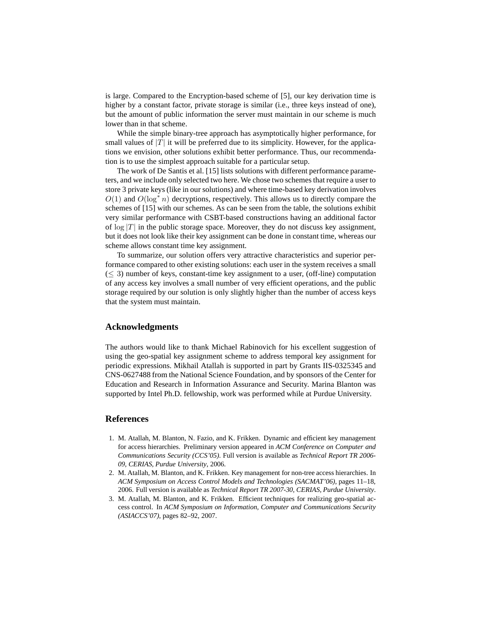is large. Compared to the Encryption-based scheme of [5], our key derivation time is higher by a constant factor, private storage is similar (i.e., three keys instead of one), but the amount of public information the server must maintain in our scheme is much lower than in that scheme.

While the simple binary-tree approach has asymptotically higher performance, for small values of  $|T|$  it will be preferred due to its simplicity. However, for the applications we envision, other solutions exhibit better performance. Thus, our recommendation is to use the simplest approach suitable for a particular setup.

The work of De Santis et al. [15] lists solutions with different performance parameters, and we include only selected two here. We chose two schemes that require a user to store 3 private keys (like in our solutions) and where time-based key derivation involves  $O(1)$  and  $O(\log^* n)$  decryptions, respectively. This allows us to directly compare the schemes of [15] with our schemes. As can be seen from the table, the solutions exhibit very similar performance with CSBT-based constructions having an additional factor of  $\log |T|$  in the public storage space. Moreover, they do not discuss key assignment, but it does not look like their key assignment can be done in constant time, whereas our scheme allows constant time key assignment.

To summarize, our solution offers very attractive characteristics and superior performance compared to other existing solutions: each user in the system receives a small  $(< 3$ ) number of keys, constant-time key assignment to a user, (off-line) computation of any access key involves a small number of very efficient operations, and the public storage required by our solution is only slightly higher than the number of access keys that the system must maintain.

# **Acknowledgments**

The authors would like to thank Michael Rabinovich for his excellent suggestion of using the geo-spatial key assignment scheme to address temporal key assignment for periodic expressions. Mikhail Atallah is supported in part by Grants IIS-0325345 and CNS-0627488 from the National Science Foundation, and by sponsors of the Center for Education and Research in Information Assurance and Security. Marina Blanton was supported by Intel Ph.D. fellowship, work was performed while at Purdue University.

### **References**

- 1. M. Atallah, M. Blanton, N. Fazio, and K. Frikken. Dynamic and efficient key management for access hierarchies. Preliminary version appeared in *ACM Conference on Computer and Communications Security (CCS'05)*. Full version is available as *Technical Report TR 2006- 09, CERIAS, Purdue University*, 2006.
- 2. M. Atallah, M. Blanton, and K. Frikken. Key management for non-tree access hierarchies. In *ACM Symposium on Access Control Models and Technologies (SACMAT'06)*, pages 11–18, 2006. Full version is available as *Technical Report TR 2007-30, CERIAS, Purdue University*.
- 3. M. Atallah, M. Blanton, and K. Frikken. Efficient techniques for realizing geo-spatial access control. In *ACM Symposium on Information, Computer and Communications Security (ASIACCS'07)*, pages 82–92, 2007.